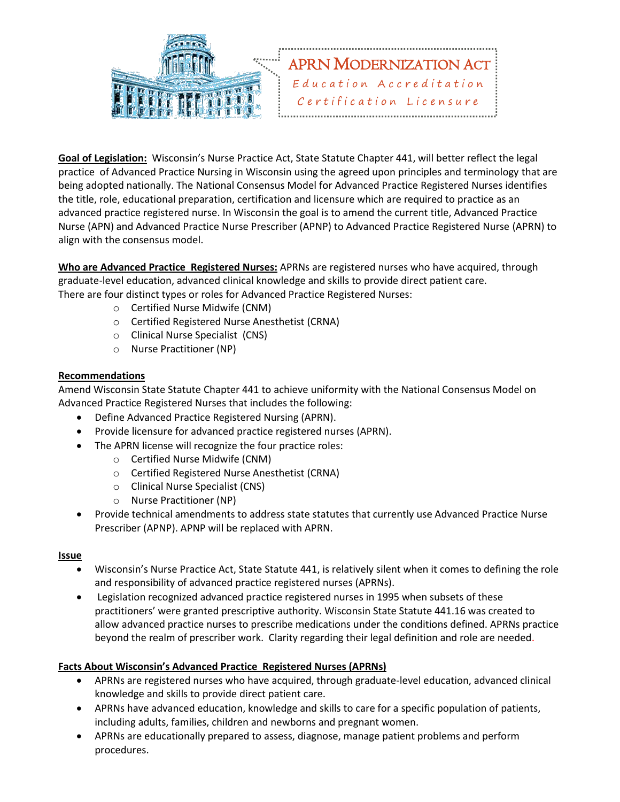

**Goal of Legislation:** Wisconsin's Nurse Practice Act, State Statute Chapter 441, will better reflect the legal practice of Advanced Practice Nursing in Wisconsin using the agreed upon principles and terminology that are being adopted nationally. The National Consensus Model for Advanced Practice Registered Nurses identifies the title, role, educational preparation, certification and licensure which are required to practice as an advanced practice registered nurse. In Wisconsin the goal is to amend the current title, Advanced Practice Nurse (APN) and Advanced Practice Nurse Prescriber (APNP) to Advanced Practice Registered Nurse (APRN) to align with the consensus model.

**Who are Advanced Practice Registered Nurses:** APRNs are registered nurses who have acquired, through graduate-level education, advanced clinical knowledge and skills to provide direct patient care. There are four distinct types or roles for Advanced Practice Registered Nurses:

- o Certified Nurse Midwife (CNM)
- o Certified Registered Nurse Anesthetist (CRNA)
- o Clinical Nurse Specialist (CNS)
- o Nurse Practitioner (NP)

## **Recommendations**

Amend Wisconsin State Statute Chapter 441 to achieve uniformity with the National Consensus Model on Advanced Practice Registered Nurses that includes the following:

- Define Advanced Practice Registered Nursing (APRN).
- Provide licensure for advanced practice registered nurses (APRN).
- The APRN license will recognize the four practice roles:
	- o Certified Nurse Midwife (CNM)
	- o Certified Registered Nurse Anesthetist (CRNA)
	- o Clinical Nurse Specialist (CNS)
	- o Nurse Practitioner (NP)
- Provide technical amendments to address state statutes that currently use Advanced Practice Nurse Prescriber (APNP). APNP will be replaced with APRN.

## **Issue**

- Wisconsin's Nurse Practice Act, State Statute 441, is relatively silent when it comes to defining the role and responsibility of advanced practice registered nurses (APRNs).
- Legislation recognized advanced practice registered nurses in 1995 when subsets of these practitioners' were granted prescriptive authority. Wisconsin State Statute 441.16 was created to allow advanced practice nurses to prescribe medications under the conditions defined. APRNs practice beyond the realm of prescriber work. Clarity regarding their legal definition and role are needed.

## **Facts About Wisconsin's Advanced Practice Registered Nurses (APRNs)**

- APRNs are registered nurses who have acquired, through graduate-level education, advanced clinical knowledge and skills to provide direct patient care.
- APRNs have advanced education, knowledge and skills to care for a specific population of patients, including adults, families, children and newborns and pregnant women.
- APRNs are educationally prepared to assess, diagnose, manage patient problems and perform procedures.